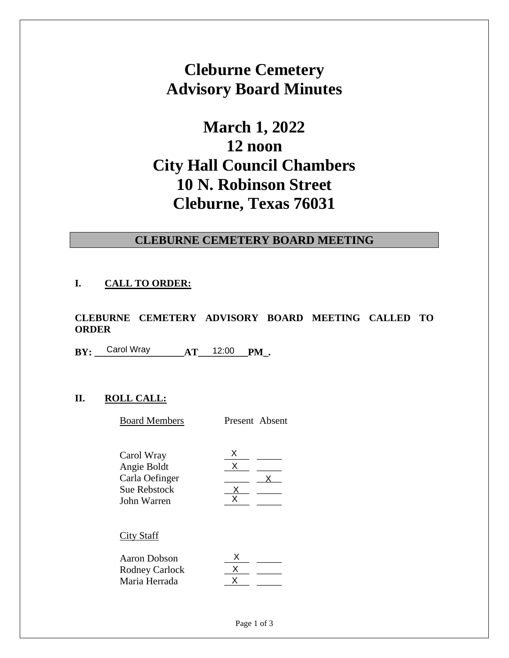# **Cleburne Cemetery Advisory Board Minutes**

# **March 1, 2022 12 noon City Hall Council Chambers 10 N. Robinson Street Cleburne, Texas 76031**

#### **CLEBURNE CEMETERY BOARD MEETING**

#### **I. CALL TO ORDER:**

**CLEBURNE CEMETERY ADVISORY BOARD MEETING CALLED TO ORDER** 

**BY:** Carol Wray **AT** 12:00 **PM**.

## **II. ROLL CALL:**

| Carol Wray                                                                        | AT | 12:00  | PM .           |
|-----------------------------------------------------------------------------------|----|--------|----------------|
|                                                                                   |    |        |                |
|                                                                                   |    |        |                |
| <b>ROLL CALL:</b>                                                                 |    |        |                |
| <b>Board Members</b>                                                              |    |        | Present Absent |
| Carol Wray<br>Angie Boldt<br>Carla Oefinger<br><b>Sue Rebstock</b><br>John Warren |    | X<br>x |                |
|                                                                                   |    |        |                |

#### City Staff

| Aaron Dobson   |  |
|----------------|--|
| Rodney Carlock |  |
| Maria Herrada  |  |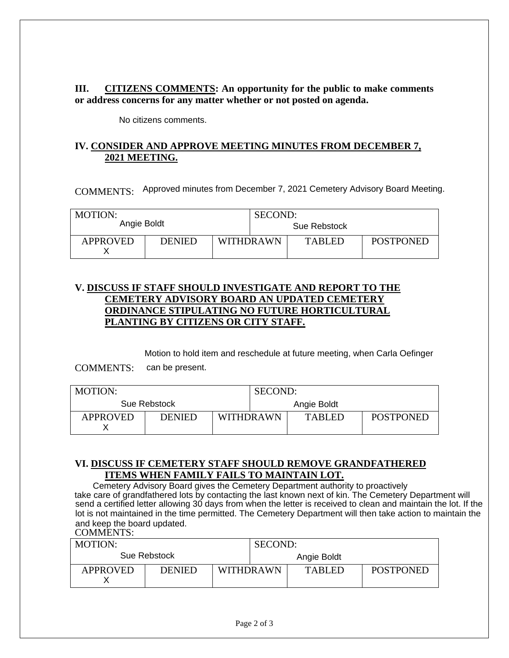**III. CITIZENS COMMENTS: An opportunity for the public to make comments or address concerns for any matter whether or not posted on agenda.**

No citizens comments.

#### **IV. CONSIDER AND APPROVE MEETING MINUTES FROM DECEMBER 7, 2021 MEETING.**

COMMENTS: Approved minutes from December 7, 2021 Cemetery Advisory Board Meeting.

| MOTION:         |               |                  | SECOND:      |               |                  |
|-----------------|---------------|------------------|--------------|---------------|------------------|
| Angie Boldt     |               |                  | Sue Rebstock |               |                  |
| <b>APPROVED</b> | <b>DENIED</b> | <b>WITHDRAWN</b> |              | <b>TABLED</b> | <b>POSTPONED</b> |

#### **V. DISCUSS IF STAFF SHOULD INVESTIGATE AND REPORT TO THE CEMETERY ADVISORY BOARD AN UPDATED CEMETERY ORDINANCE STIPULATING NO FUTURE HORTICULTURAL PLANTING BY CITIZENS OR CITY STAFF.**

Motion to hold item and reschedule at future meeting, when Carla Oefinger

COMMENTS: can be present.

| <b>MOTION:</b>  |               |                  | SECOND:     |               |                  |
|-----------------|---------------|------------------|-------------|---------------|------------------|
| Sue Rebstock    |               |                  | Angie Boldt |               |                  |
| <b>APPROVED</b> | <b>DENIED</b> | <b>WITHDRAWN</b> |             | <b>TABLED</b> | <b>POSTPONED</b> |

### **VI. DISCUSS IF CEMETERY STAFF SHOULD REMOVE GRANDFATHERED ITEMS WHEN FAMILY FAILS TO MAINTAIN LOT.**

COMMENTS: Cemetery Advisory Board gives the Cemetery Department authority to proactively take care of grandfathered lots by contacting the last known next of kin. The Cemetery Department will send a certified letter allowing 30 days from when the letter is received to clean and maintain the lot. If the lot is not maintained in the time permitted. The Cemetery Department will then take action to maintain the and keep the board updated.

| <b>MOTION:</b>  |               |                  | SECOND:     |               |                  |  |
|-----------------|---------------|------------------|-------------|---------------|------------------|--|
| Sue Rebstock    |               |                  | Angie Boldt |               |                  |  |
| <b>APPROVED</b> | <b>DENIED</b> | <b>WITHDRAWN</b> |             | <b>TABLED</b> | <b>POSTPONED</b> |  |